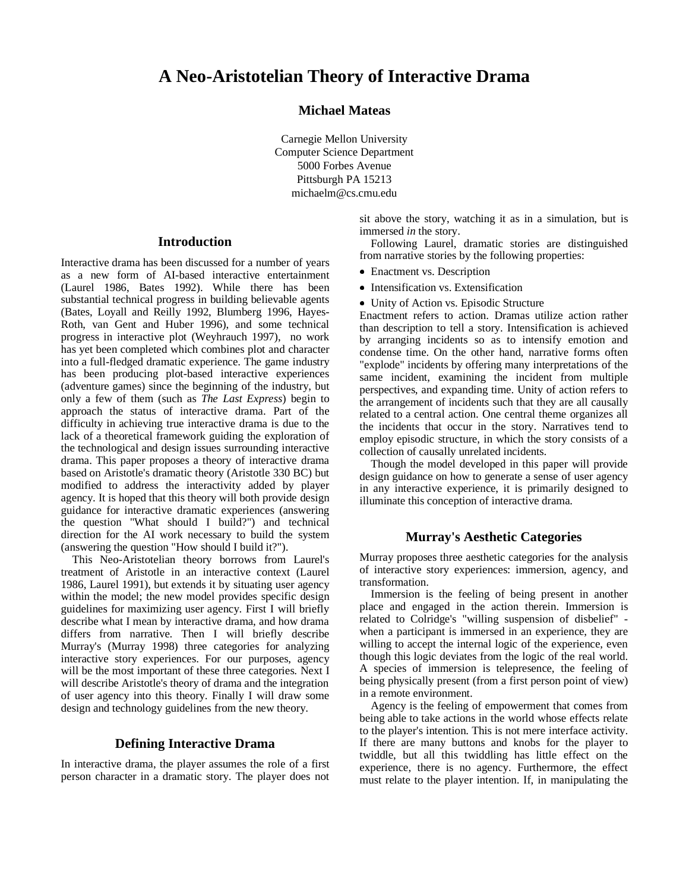# **Michael Mateas**

Carnegie Mellon University Computer Science Department 5000 Forbes Avenue Pittsburgh PA 15213 michaelm@cs.cmu.edu

## **Introduction**

Interactive drama has been discussed for a number of years as a new form of AI-based interactive entertainment (Laurel 1986, Bates 1992). While there has been substantial technical progress in building believable agents (Bates, Loyall and Reilly 1992, Blumberg 1996, Hayes-Roth, van Gent and Huber 1996), and some technical progress in interactive plot (Weyhrauch 1997), no work has yet been completed which combines plot and character into a full-fledged dramatic experience. The game industry has been producing plot-based interactive experiences (adventure games) since the beginning of the industry, but only a few of them (such as *The Last Express*) begin to approach the status of interactive drama. Part of the difficulty in achieving true interactive drama is due to the lack of a theoretical framework guiding the exploration of the technological and design issues surrounding interactive drama. This paper proposes a theory of interactive drama based on Aristotle's dramatic theory (Aristotle 330 BC) but modified to address the interactivity added by player agency. It is hoped that this theory will both provide design guidance for interactive dramatic experiences (answering the question "What should I build?") and technical direction for the AI work necessary to build the system (answering the question "How should I build it?").

This Neo-Aristotelian theory borrows from Laurel's treatment of Aristotle in an interactive context (Laurel 1986, Laurel 1991), but extends it by situating user agency within the model; the new model provides specific design guidelines for maximizing user agency. First I will briefly describe what I mean by interactive drama, and how drama differs from narrative. Then I will briefly describe Murray's (Murray 1998) three categories for analyzing interactive story experiences. For our purposes, agency will be the most important of these three categories. Next I will describe Aristotle's theory of drama and the integration of user agency into this theory. Finally I will draw some design and technology guidelines from the new theory.

### **Defining Interactive Drama**

In interactive drama, the player assumes the role of a first person character in a dramatic story. The player does not sit above the story, watching it as in a simulation, but is immersed *in* the story.

Following Laurel, dramatic stories are distinguished from narrative stories by the following properties:

- Enactment vs. Description
- Intensification vs. Extensification

• Unity of Action vs. Episodic Structure

Enactment refers to action. Dramas utilize action rather than description to tell a story. Intensification is achieved by arranging incidents so as to intensify emotion and condense time. On the other hand, narrative forms often "explode" incidents by offering many interpretations of the same incident, examining the incident from multiple perspectives, and expanding time. Unity of action refers to the arrangement of incidents such that they are all causally related to a central action. One central theme organizes all the incidents that occur in the story. Narratives tend to employ episodic structure, in which the story consists of a collection of causally unrelated incidents.

Though the model developed in this paper will provide design guidance on how to generate a sense of user agency in any interactive experience, it is primarily designed to illuminate this conception of interactive drama.

### **Murray's Aesthetic Categories**

Murray proposes three aesthetic categories for the analysis of interactive story experiences: immersion, agency, and transformation.

Immersion is the feeling of being present in another place and engaged in the action therein. Immersion is related to Colridge's "willing suspension of disbelief" when a participant is immersed in an experience, they are willing to accept the internal logic of the experience, even though this logic deviates from the logic of the real world. A species of immersion is telepresence, the feeling of being physically present (from a first person point of view) in a remote environment.

Agency is the feeling of empowerment that comes from being able to take actions in the world whose effects relate to the player's intention. This is not mere interface activity. If there are many buttons and knobs for the player to twiddle, but all this twiddling has little effect on the experience, there is no agency. Furthermore, the effect must relate to the player intention. If, in manipulating the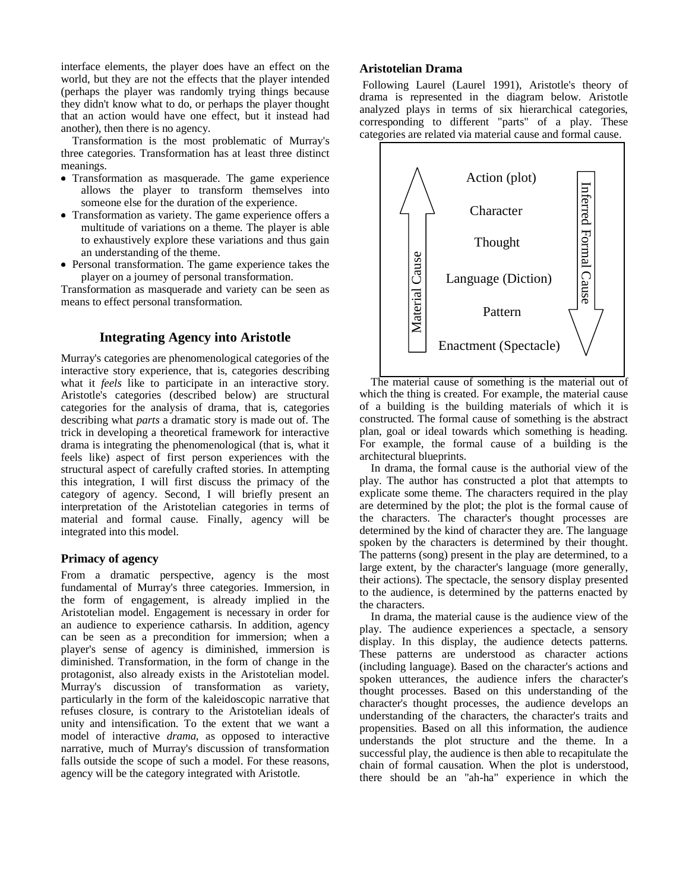interface elements, the player does have an effect on the world, but they are not the effects that the player intended (perhaps the player was randomly trying things because they didn't know what to do, or perhaps the player thought that an action would have one effect, but it instead had another), then there is no agency.

Transformation is the most problematic of Murray's three categories. Transformation has at least three distinct meanings.

- **Transformation as masquerade. The game experience** allows the player to transform themselves into someone else for the duration of the experience.
- Transformation as variety. The game experience offers a multitude of variations on a theme. The player is able to exhaustively explore these variations and thus gain an understanding of the theme.
- Personal transformation. The game experience takes the player on a journey of personal transformation.

Transformation as masquerade and variety can be seen as means to effect personal transformation.

# **Integrating Agency into Aristotle**

Murray's categories are phenomenological categories of the interactive story experience, that is, categories describing what it *feels* like to participate in an interactive story. Aristotle's categories (described below) are structural categories for the analysis of drama, that is, categories describing what *parts* a dramatic story is made out of. The trick in developing a theoretical framework for interactive drama is integrating the phenomenological (that is, what it feels like) aspect of first person experiences with the structural aspect of carefully crafted stories. In attempting this integration, I will first discuss the primacy of the category of agency. Second, I will briefly present an interpretation of the Aristotelian categories in terms of material and formal cause. Finally, agency will be integrated into this model.

### **Primacy of agency**

From a dramatic perspective, agency is the most fundamental of Murray's three categories. Immersion, in the form of engagement, is already implied in the Aristotelian model. Engagement is necessary in order for an audience to experience catharsis. In addition, agency can be seen as a precondition for immersion; when a player's sense of agency is diminished, immersion is diminished. Transformation, in the form of change in the protagonist, also already exists in the Aristotelian model. Murray's discussion of transformation as variety, particularly in the form of the kaleidoscopic narrative that refuses closure, is contrary to the Aristotelian ideals of unity and intensification. To the extent that we want a model of interactive *drama*, as opposed to interactive narrative, much of Murray's discussion of transformation falls outside the scope of such a model. For these reasons, agency will be the category integrated with Aristotle.

## **Aristotelian Drama**

 Following Laurel (Laurel 1991), Aristotle's theory of drama is represented in the diagram below. Aristotle analyzed plays in terms of six hierarchical categories, corresponding to different "parts" of a play. These categories are related via material cause and formal cause.



The material cause of something is the material out of which the thing is created. For example, the material cause of a building is the building materials of which it is constructed. The formal cause of something is the abstract plan, goal or ideal towards which something is heading. For example, the formal cause of a building is the architectural blueprints.

In drama, the formal cause is the authorial view of the play. The author has constructed a plot that attempts to explicate some theme. The characters required in the play are determined by the plot; the plot is the formal cause of the characters. The character's thought processes are determined by the kind of character they are. The language spoken by the characters is determined by their thought. The patterns (song) present in the play are determined, to a large extent, by the character's language (more generally, their actions). The spectacle, the sensory display presented to the audience, is determined by the patterns enacted by the characters.

In drama, the material cause is the audience view of the play. The audience experiences a spectacle, a sensory display. In this display, the audience detects patterns. These patterns are understood as character actions (including language). Based on the character's actions and spoken utterances, the audience infers the character's thought processes. Based on this understanding of the character's thought processes, the audience develops an understanding of the characters, the character's traits and propensities. Based on all this information, the audience understands the plot structure and the theme. In a successful play, the audience is then able to recapitulate the chain of formal causation. When the plot is understood, there should be an "ah-ha" experience in which the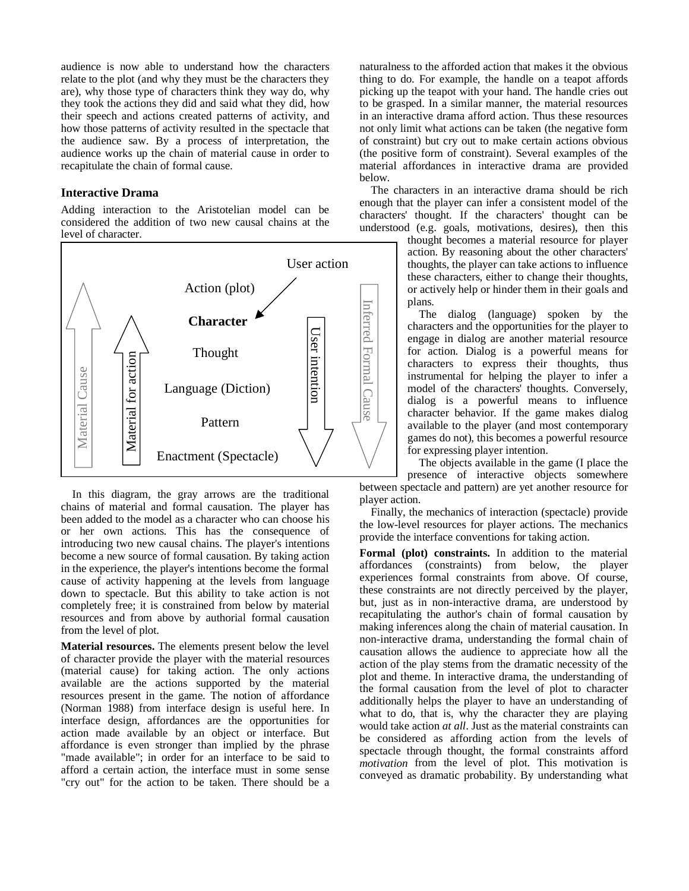audience is now able to understand how the characters relate to the plot (and why they must be the characters they are), why those type of characters think they way do, why they took the actions they did and said what they did, how their speech and actions created patterns of activity, and how those patterns of activity resulted in the spectacle that the audience saw. By a process of interpretation, the audience works up the chain of material cause in order to recapitulate the chain of formal cause.

#### **Interactive Drama**

Adding interaction to the Aristotelian model can be considered the addition of two new causal chains at the level of character.



In this diagram, the gray arrows are the traditional chains of material and formal causation. The player has been added to the model as a character who can choose his or her own actions. This has the consequence of introducing two new causal chains. The player's intentions become a new source of formal causation. By taking action in the experience, the player's intentions become the formal cause of activity happening at the levels from language down to spectacle. But this ability to take action is not completely free; it is constrained from below by material resources and from above by authorial formal causation from the level of plot.

**Material resources.** The elements present below the level of character provide the player with the material resources (material cause) for taking action. The only actions available are the actions supported by the material resources present in the game. The notion of affordance (Norman 1988) from interface design is useful here. In interface design, affordances are the opportunities for action made available by an object or interface. But affordance is even stronger than implied by the phrase "made available"; in order for an interface to be said to afford a certain action, the interface must in some sense "cry out" for the action to be taken. There should be a naturalness to the afforded action that makes it the obvious thing to do. For example, the handle on a teapot affords picking up the teapot with your hand. The handle cries out to be grasped. In a similar manner, the material resources in an interactive drama afford action. Thus these resources not only limit what actions can be taken (the negative form of constraint) but cry out to make certain actions obvious (the positive form of constraint). Several examples of the material affordances in interactive drama are provided below.

The characters in an interactive drama should be rich enough that the player can infer a consistent model of the characters' thought. If the characters' thought can be understood (e.g. goals, motivations, desires), then this

thought becomes a material resource for player action. By reasoning about the other characters' thoughts, the player can take actions to influence these characters, either to change their thoughts, or actively help or hinder them in their goals and plans.

The dialog (language) spoken by the characters and the opportunities for the player to engage in dialog are another material resource for action. Dialog is a powerful means for characters to express their thoughts, thus instrumental for helping the player to infer a model of the characters' thoughts. Conversely, dialog is a powerful means to influence character behavior. If the game makes dialog available to the player (and most contemporary games do not), this becomes a powerful resource for expressing player intention.

The objects available in the game (I place the presence of interactive objects somewhere between spectacle and pattern) are yet another resource for player action.

Finally, the mechanics of interaction (spectacle) provide the low-level resources for player actions. The mechanics provide the interface conventions for taking action.

**Formal (plot) constraints.** In addition to the material affordances (constraints) from below, the player experiences formal constraints from above. Of course, these constraints are not directly perceived by the player, but, just as in non-interactive drama, are understood by recapitulating the author's chain of formal causation by making inferences along the chain of material causation. In non-interactive drama, understanding the formal chain of causation allows the audience to appreciate how all the action of the play stems from the dramatic necessity of the plot and theme. In interactive drama, the understanding of the formal causation from the level of plot to character additionally helps the player to have an understanding of what to do, that is, why the character they are playing would take action *at all*. Just as the material constraints can be considered as affording action from the levels of spectacle through thought, the formal constraints afford *motivation* from the level of plot. This motivation is conveyed as dramatic probability. By understanding what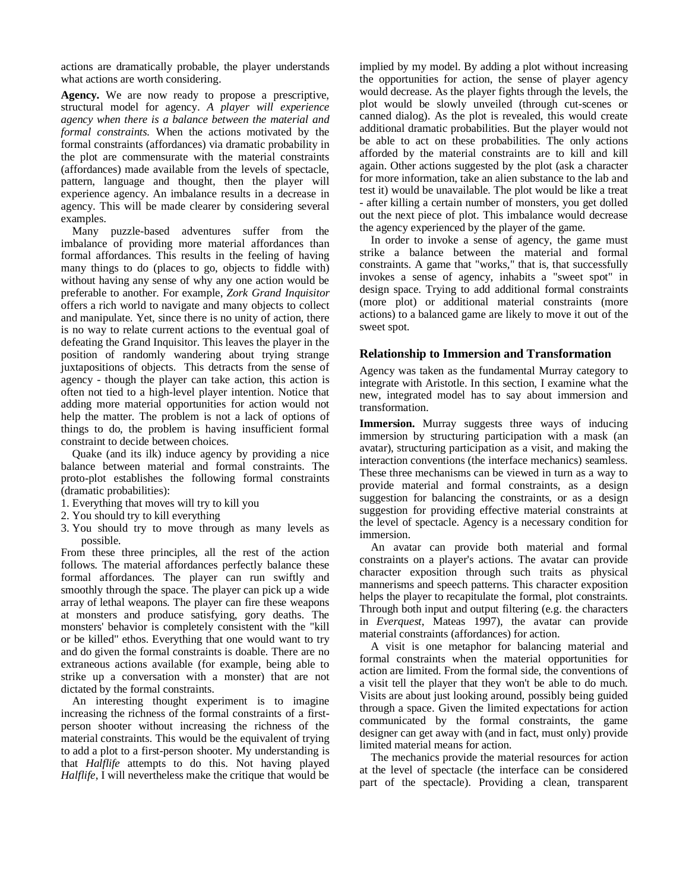actions are dramatically probable, the player understands what actions are worth considering.

**Agency.** We are now ready to propose a prescriptive, structural model for agency. *A player will experience agency when there is a balance between the material and formal constraints.* When the actions motivated by the formal constraints (affordances) via dramatic probability in the plot are commensurate with the material constraints (affordances) made available from the levels of spectacle, pattern, language and thought, then the player will experience agency. An imbalance results in a decrease in agency. This will be made clearer by considering several examples.

Many puzzle-based adventures suffer from the imbalance of providing more material affordances than formal affordances. This results in the feeling of having many things to do (places to go, objects to fiddle with) without having any sense of why any one action would be preferable to another. For example, *Zork Grand Inquisitor* offers a rich world to navigate and many objects to collect and manipulate. Yet, since there is no unity of action, there is no way to relate current actions to the eventual goal of defeating the Grand Inquisitor. This leaves the player in the position of randomly wandering about trying strange juxtapositions of objects. This detracts from the sense of agency - though the player can take action, this action is often not tied to a high-level player intention. Notice that adding more material opportunities for action would not help the matter. The problem is not a lack of options of things to do, the problem is having insufficient formal constraint to decide between choices.

Quake (and its ilk) induce agency by providing a nice balance between material and formal constraints. The proto-plot establishes the following formal constraints (dramatic probabilities):

- 1. Everything that moves will try to kill you
- 2. You should try to kill everything
- 3. You should try to move through as many levels as possible.

From these three principles, all the rest of the action follows. The material affordances perfectly balance these formal affordances. The player can run swiftly and smoothly through the space. The player can pick up a wide array of lethal weapons. The player can fire these weapons at monsters and produce satisfying, gory deaths. The monsters' behavior is completely consistent with the "kill or be killed" ethos. Everything that one would want to try and do given the formal constraints is doable. There are no extraneous actions available (for example, being able to strike up a conversation with a monster) that are not dictated by the formal constraints.

An interesting thought experiment is to imagine increasing the richness of the formal constraints of a firstperson shooter without increasing the richness of the material constraints. This would be the equivalent of trying to add a plot to a first-person shooter. My understanding is that *Halflife* attempts to do this. Not having played *Halflife*, I will nevertheless make the critique that would be implied by my model. By adding a plot without increasing the opportunities for action, the sense of player agency would decrease. As the player fights through the levels, the plot would be slowly unveiled (through cut-scenes or canned dialog). As the plot is revealed, this would create additional dramatic probabilities. But the player would not be able to act on these probabilities. The only actions afforded by the material constraints are to kill and kill again. Other actions suggested by the plot (ask a character for more information, take an alien substance to the lab and test it) would be unavailable. The plot would be like a treat - after killing a certain number of monsters, you get dolled out the next piece of plot. This imbalance would decrease the agency experienced by the player of the game.

In order to invoke a sense of agency, the game must strike a balance between the material and formal constraints. A game that "works," that is, that successfully invokes a sense of agency, inhabits a "sweet spot" in design space. Trying to add additional formal constraints (more plot) or additional material constraints (more actions) to a balanced game are likely to move it out of the sweet spot.

## **Relationship to Immersion and Transformation**

Agency was taken as the fundamental Murray category to integrate with Aristotle. In this section, I examine what the new, integrated model has to say about immersion and transformation.

**Immersion.** Murray suggests three ways of inducing immersion by structuring participation with a mask (an avatar), structuring participation as a visit, and making the interaction conventions (the interface mechanics) seamless. These three mechanisms can be viewed in turn as a way to provide material and formal constraints, as a design suggestion for balancing the constraints, or as a design suggestion for providing effective material constraints at the level of spectacle. Agency is a necessary condition for immersion.

An avatar can provide both material and formal constraints on a player's actions. The avatar can provide character exposition through such traits as physical mannerisms and speech patterns. This character exposition helps the player to recapitulate the formal, plot constraints. Through both input and output filtering (e.g. the characters in *Everquest*, Mateas 1997), the avatar can provide material constraints (affordances) for action.

A visit is one metaphor for balancing material and formal constraints when the material opportunities for action are limited. From the formal side, the conventions of a visit tell the player that they won't be able to do much. Visits are about just looking around, possibly being guided through a space. Given the limited expectations for action communicated by the formal constraints, the game designer can get away with (and in fact, must only) provide limited material means for action.

The mechanics provide the material resources for action at the level of spectacle (the interface can be considered part of the spectacle). Providing a clean, transparent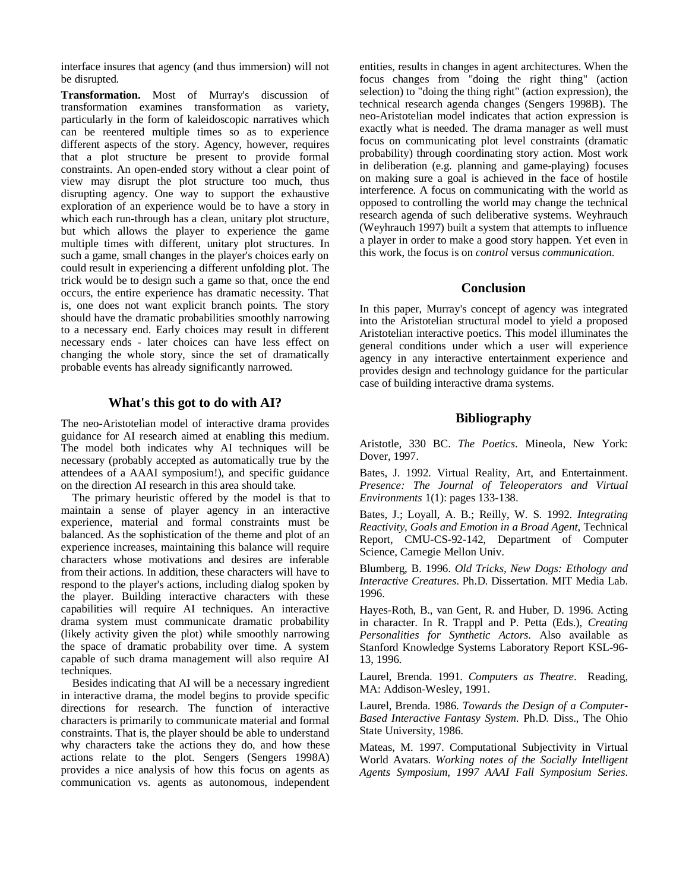interface insures that agency (and thus immersion) will not be disrupted.

**Transformation.** Most of Murray's discussion of transformation examines transformation as variety, particularly in the form of kaleidoscopic narratives which can be reentered multiple times so as to experience different aspects of the story. Agency, however, requires that a plot structure be present to provide formal constraints. An open-ended story without a clear point of view may disrupt the plot structure too much, thus disrupting agency. One way to support the exhaustive exploration of an experience would be to have a story in which each run-through has a clean, unitary plot structure, but which allows the player to experience the game multiple times with different, unitary plot structures. In such a game, small changes in the player's choices early on could result in experiencing a different unfolding plot. The trick would be to design such a game so that, once the end occurs, the entire experience has dramatic necessity. That is, one does not want explicit branch points. The story should have the dramatic probabilities smoothly narrowing to a necessary end. Early choices may result in different necessary ends - later choices can have less effect on changing the whole story, since the set of dramatically probable events has already significantly narrowed.

## **What's this got to do with AI?**

The neo-Aristotelian model of interactive drama provides guidance for AI research aimed at enabling this medium. The model both indicates why AI techniques will be necessary (probably accepted as automatically true by the attendees of a AAAI symposium!), and specific guidance on the direction AI research in this area should take.

The primary heuristic offered by the model is that to maintain a sense of player agency in an interactive experience, material and formal constraints must be balanced. As the sophistication of the theme and plot of an experience increases, maintaining this balance will require characters whose motivations and desires are inferable from their actions. In addition, these characters will have to respond to the player's actions, including dialog spoken by the player. Building interactive characters with these capabilities will require AI techniques. An interactive drama system must communicate dramatic probability (likely activity given the plot) while smoothly narrowing the space of dramatic probability over time. A system capable of such drama management will also require AI techniques.

Besides indicating that AI will be a necessary ingredient in interactive drama, the model begins to provide specific directions for research. The function of interactive characters is primarily to communicate material and formal constraints. That is, the player should be able to understand why characters take the actions they do, and how these actions relate to the plot. Sengers (Sengers 1998A) provides a nice analysis of how this focus on agents as communication vs. agents as autonomous, independent entities, results in changes in agent architectures. When the focus changes from "doing the right thing" (action selection) to "doing the thing right" (action expression), the technical research agenda changes (Sengers 1998B). The neo-Aristotelian model indicates that action expression is exactly what is needed. The drama manager as well must focus on communicating plot level constraints (dramatic probability) through coordinating story action. Most work in deliberation (e.g. planning and game-playing) focuses on making sure a goal is achieved in the face of hostile interference. A focus on communicating with the world as opposed to controlling the world may change the technical research agenda of such deliberative systems. Weyhrauch (Weyhrauch 1997) built a system that attempts to influence a player in order to make a good story happen. Yet even in this work, the focus is on *control* versus *communication*.

### **Conclusion**

In this paper, Murray's concept of agency was integrated into the Aristotelian structural model to yield a proposed Aristotelian interactive poetics. This model illuminates the general conditions under which a user will experience agency in any interactive entertainment experience and provides design and technology guidance for the particular case of building interactive drama systems.

## **Bibliography**

Aristotle, 330 BC. *The Poetics*. Mineola, New York: Dover, 1997.

Bates, J. 1992. Virtual Reality, Art, and Entertainment. *Presence: The Journal of Teleoperators and Virtual Environments* 1(1): pages 133-138.

Bates, J.; Loyall, A. B.; Reilly, W. S. 1992. *Integrating Reactivity, Goals and Emotion in a Broad Agent*, Technical Report, CMU-CS-92-142, Department of Computer Science, Carnegie Mellon Univ.

Blumberg, B. 1996. *Old Tricks, New Dogs: Ethology and Interactive Creatures*. Ph.D. Dissertation. MIT Media Lab. 1996.

Hayes-Roth, B., van Gent, R. and Huber, D. 1996. Acting in character. In R. Trappl and P. Petta (Eds.), *Creating Personalities for Synthetic Actors*. Also available as Stanford Knowledge Systems Laboratory Report KSL-96- 13, 1996.

Laurel, Brenda. 1991. *Computers as Theatre*. Reading, MA: Addison-Wesley, 1991.

Laurel, Brenda. 1986. *Towards the Design of a Computer-Based Interactive Fantasy System*. Ph.D. Diss., The Ohio State University, 1986.

Mateas, M. 1997. Computational Subjectivity in Virtual World Avatars. *Working notes of the Socially Intelligent Agents Symposium, 1997 AAAI Fall Symposium Series*.